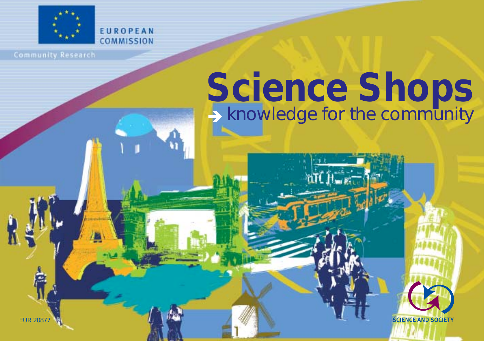

EUROPEAN **COMMISSION** 

**Community Research** 

# $\rightarrow$  knowledge for the community **Science Shops**

**SCIENCE AND SOCIETY** 

EUR 20877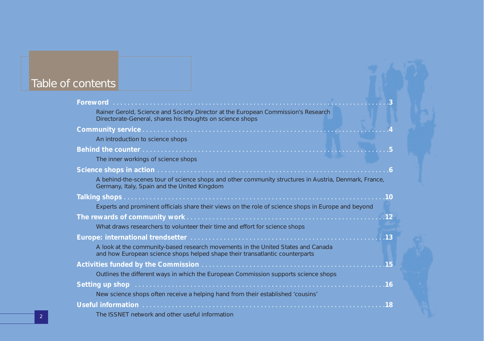## Table of contents

| Rainer Gerold, Science and Society Director at the European Commission's Research<br>Directorate-General, shares his thoughts on science shops                   |  |
|------------------------------------------------------------------------------------------------------------------------------------------------------------------|--|
|                                                                                                                                                                  |  |
| An introduction to science shops                                                                                                                                 |  |
|                                                                                                                                                                  |  |
| The inner workings of science shops                                                                                                                              |  |
|                                                                                                                                                                  |  |
| A behind-the-scenes tour of science shops and other community structures in Austria, Denmark, France,<br>Germany, Italy, Spain and the United Kingdom            |  |
|                                                                                                                                                                  |  |
| Experts and prominent officials share their views on the role of science shops in Europe and beyond                                                              |  |
|                                                                                                                                                                  |  |
| What draws researchers to volunteer their time and effort for science shops                                                                                      |  |
|                                                                                                                                                                  |  |
| A look at the community-based research movements in the United States and Canada<br>and how European science shops helped shape their transatlantic counterparts |  |
|                                                                                                                                                                  |  |
| Outlines the different ways in which the European Commission supports science shops                                                                              |  |
| Setting up shop <b>contract the contract of the setting of the setting of setting up</b> shop <b>contract to the setting of the setting</b>                      |  |
| New science shops often receive a helping hand from their established 'cousins'                                                                                  |  |
| Useful information (interactionary and international control of the USE of the USE of the USE of the USE of the                                                  |  |
| The ISSNET network and other useful information                                                                                                                  |  |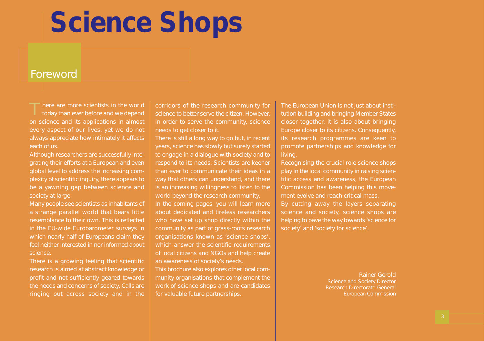### Foreword

T*here are more scientists in the world today than ever before and we depend on science and its applications in almost every aspect of our lives, yet we do not always appreciate how intimately it affects each of us.* 

*Although researchers are successfully integrating their efforts at a European and even global level to address the increasing complexity of scientific inquiry, there appears to be a yawning gap between science and society at large.*

*Many people see scientists as inhabitants of a strange parallel world that bears little resemblance to their own. This is reflected in the EU-wide Eurobarometer surveys in which nearly half of Europeans claim they feel neither interested in nor informed about science.* 

*There is a growing feeling that scientific research is aimed at abstract knowledge or profit and not sufficiently geared towards the needs and concerns of society. Calls are ringing out across society and in the* *corridors of the research community for science to better serve the citizen. However, in order to serve the community, science needs to get closer to it.* 

*There is still a long way to go but, in recent years, science has slowly but surely started to engage in a dialogue with society and to respond to its needs. Scientists are keener than ever to communicate their ideas in a way that others can understand, and there is an increasing willingness to listen to the world beyond the research community.* 

*In the coming pages, you will learn more about dedicated and tireless researchers who have set up shop directly within the community as part of grass-roots research organisations known as 'science shops', which answer the scientific requirements of local citizens and NGOs and help create an awareness of society's needs. This brochure also explores other local community organisations that complement the work of science shops and are candidates for valuable future partnerships.*

*The European Union is not just about institution building and bringing Member States closer together, it is also about bringing Europe closer to its citizens. Consequently, its research programmes are keen to promote partnerships and knowledge for living.* 

*Recognising the crucial role science shops play in the local community in raising scientific access and awareness, the European Commission has been helping this movement evolve and reach critical mass. By cutting away the layers separating science and society, science shops are helping to pave the way towards 'science for*

> Rainer Gerold *Science and Society Director Research Directorate-General* European Commission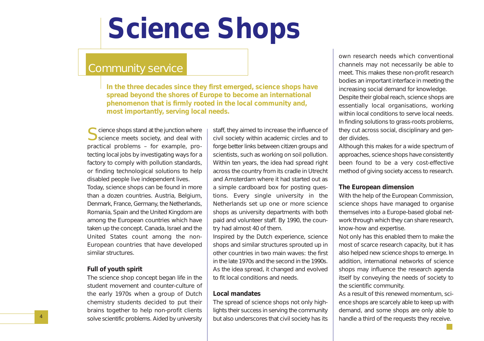### Community service

*In the three decades since they first emerged, science shops have spread beyond the shores of Europe to become an international phenomenon that is firmly rooted in the local community and, most importantly, serving local needs.*

Science shops stand at the junction where<br>Science meets society, and deal with practical problems – for example, protecting local jobs by investigating ways for a factory to comply with pollution standards, or finding technological solutions to help disabled people live independent lives.

Today, science shops can be found in more than a dozen countries. Austria, Belgium, Denmark, France, Germany, the Netherlands, Romania, Spain and the United Kingdom are among the European countries which have taken up the concept. Canada, Israel and the United States count among the non-European countries that have developed similar structures.

#### **Full of youth spirit**

The science shop concept began life in the student movement and counter-culture of the early 1970s when a group of Dutch chemistry students decided to put their brains together to help non-profit clients solve scientific problems. Aided by university

staff, they aimed to increase the influence of civil society within academic circles and to forge better links between citizen groups and scientists, such as working on soil pollution. Within ten years, the idea had spread right across the country from its cradle in Utrecht and Amsterdam where it had started out as a simple cardboard box for posting questions. Every single university in the Netherlands set up one or more science shops as university departments with both paid and volunteer staff. By 1990, the country had almost 40 of them.

Inspired by the Dutch experience, science shops and similar structures sprouted up in other countries in two main waves: the first in the late 1970s and the second in the 1990s. As the idea spread, it changed and evolved to fit local conditions and needs.

#### **Local mandates**

The spread of science shops not only highlights their success in serving the community but also underscores that civil society has its

own research needs which conventional channels may not necessarily be able to meet. This makes these non-profit research bodies an important interface in meeting the increasing social demand for knowledge. Despite their global reach, science shops are essentially local organisations, working within local conditions to serve local needs. In finding solutions to grass-roots problems, they cut across social, disciplinary and gender divides.

Although this makes for a wide spectrum of approaches, science shops have consistently been found to be a very cost-effective method of giving society access to research.

#### **The European dimension**

With the help of the European Commission, science shops have managed to organise themselves into a Europe-based global network through which they can share research, know-how and expertise.

Not only has this enabled them to make the most of scarce research capacity, but it has also helped new science shops to emerge. In addition, international networks of science shops may influence the research agenda itself by conveying the needs of society to the scientific community.

As a result of this renewed momentum, science shops are scarcely able to keep up with demand, and some shops are only able to handle a third of the requests they receive.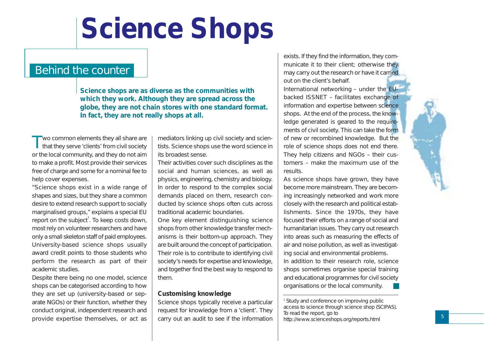### Behind the counter

*Science shops are as diverse as the communities with which they work. Although they are spread across the globe, they are not chain stores with one standard format. In fact, they are not really shops at all.*

Two common elements they all share are that they serve 'clients' from civil society or the local community, and they do not aim to make a profit. Most provide their services free of charge and some for a nominal fee to help cover expenses.

"Science shops exist in a wide range of shapes and sizes, but they share a common desire to extend research support to socially marginalised groups," explains a special EU report on the subject $^{\rm !}$ . To keep costs down, most rely on volunteer researchers and have only a small skeleton staff of paid employees. University-based science shops usually award credit points to those students who perform the research as part of their academic studies.

Despite there being no one model, science shops can be categorised according to how they are set up (university-based or separate NGOs) or their function, whether they conduct original, independent research and provide expertise themselves, or act as

mediators linking up civil society and scientists. Science shops use the word science in its broadest sense.

Their activities cover such disciplines as the social and human sciences, as well as physics, engineering, chemistry and biology. In order to respond to the complex social demands placed on them, research conducted by science shops often cuts across traditional academic boundaries.

One key element distinguishing science shops from other knowledge transfer mechanisms is their bottom-up approach. They are built around the concept of participation. Their role is to contribute to identifying civil society's needs for expertise and knowledge, and together find the best way to respond to them.

#### **Customising knowledge**

Science shops typically receive a particular request for knowledge from a 'client'. They carry out an audit to see if the information

exists. If they find the information, they communicate it to their client; otherwise they may carry out the research or have it carried out on the client's behalf.

International networking – under the EUbacked ISSNET – facilitates exchange of information and expertise between science shops. At the end of the process, the knowledge generated is geared to the requirements of civil society. This can take the form of new or recombined knowledge. But the role of science shops does not end there. They help citizens and NGOs – their customers – make the maximum use of the results.

As science shops have grown, they have become more mainstream. They are becoming increasingly networked and work more closely with the research and political establishments. Since the 1970s, they have focused their efforts on a range of social and humanitarian issues. They carry out research into areas such as measuring the effects of air and noise pollution, as well as investigating social and environmental problems. In addition to their research role, science shops sometimes organise special training

and educational programmes for civil society organisations or the local community.

*<sup>1</sup> Study and conference on improving public access to science through science shop (SCIPAS). To read the report, go to http://www.scienceshops.org/reports.html*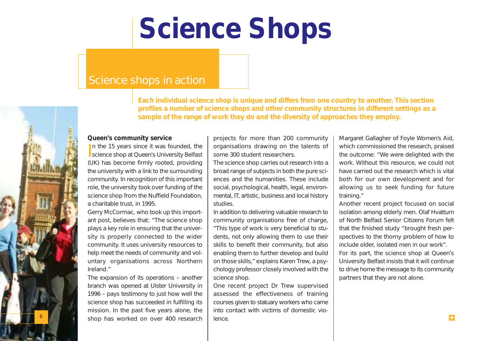### Science shops in action

*Each individual science shop is unique and differs from one country to another. This section profiles a number of science shops and other community structures in different settings as a sample of the range of work they do and the diversity of approaches they employ.* 

#### **Queen's community service**

In the 15 years since it was founded, the science shop at Queen's University Belfast In the 15 years since it was founded, the (UK) has become firmly rooted, providing the university with a link to the surrounding community. In recognition of this important role, the university took over funding of the science shop from the Nuffield Foundation, a charitable trust, in 1995.

Gerry McCormac, who took up this important post, believes that: "The science shop plays a key role in ensuring that the university is properly connected to the wider community. It uses university resources to help meet the needs of community and voluntary organisations across Northern Ireland."

The expansion of its operations – another branch was opened at Ulster University in 1996 – pays testimony to just how well the science shop has succeeded in fulfilling its mission. In the past five years alone, the shop has worked on over 400 research

6

projects for more than 200 community organisations drawing on the talents of some 300 student researchers.

The science shop carries out research into a broad range of subjects in both the pure sciences and the humanities. These include social, psychological, health, legal, environmental, IT, artistic, business and local history studies.

In addition to delivering valuable research to community organisations free of charge, "This type of work is very beneficial to students, not only allowing them to use their skills to benefit their community, but also enabling them to further develop and build on those skills," explains Karen Trew, a psychology professor closely involved with the science shop.

One recent project Dr Trew supervised assessed the effectiveness of training courses given to statuary workers who came into contact with victims of domestic violence.

Margaret Gallagher of Foyle Women's Aid, which commissioned the research, praised the outcome: "We were delighted with the work. Without this resource, we could not have carried out the research which is vital both for our own development and for allowing us to seek funding for future training."

Another recent project focused on social isolation among elderly men. Olaf Hvattum of North Belfast Senior Citizens Forum felt that the finished study "brought fresh perspectives to the thorny problem of how to include older, isolated men in our work".

For its part, the science shop at Queen's University Belfast insists that it will continue to drive home the message to its community partners that they are not alone.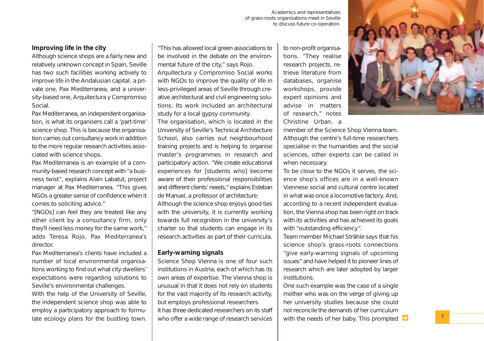Academics and representatives of grass-roots organisations meet in Seville to discuss future co-operation.

#### **Improving life in the city**

Although science shops are a fairly new and relatively unknown concept in Spain, Seville has two such facilities working actively to improve life in the Andalusian capital: a private one, Pax Mediterranea, and a university-based one, Arquitectura y Compromiso Social.

Pax Mediterranea, an independent organisation, is what its organisers call a 'part-time' science shop. This is because the organisation carries out consultancy work in addition to the more regular research activities associated with science shops.

Pax Mediterranea is an example of a community-based research concept with "a business twist", explains Alain Labatut, project manager at Pax Mediterranea. "This gives NGOs a greater sense of confidence when it comes to soliciting advice."

"[NGOs] can feel they are treated like any other client by a consultancy firm, only they'll need less money for the same work," adds Teresa Rojo, Pax Mediterranea's director.

Pax Mediterranea's clients have included a number of local environmental organisations working to find out what city dwellers' expectations were regarding solutions to Seville's environmental challenges.

With the help of the University of Seville, the independent science shop was able to employ a participatory approach to formulate ecology plans for the bustling town.

"This has allowed local green associations to be involved in the debate on the environmental future of the city," says Rojo. Arquitectura y Compromiso Social works with NGOs to improve the quality of life in less-privileged areas of Seville through creative architectural and civil engineering solutions. Its work included an architectural study for a local gypsy community.

The organisation, which is located in the University of Seville's Technical Architecture School, also carries out neighbourhood training projects and is helping to organise master's programmes in research and participatory action. "We create educational experiences for [students who] become aware of their professional responsibilities and different clients' needs," explains Esteban de Manuel, a professor of architecture.

Although the science shop enjoys good ties with the university, it is currently working towards full recognition in the university's charter so that students can engage in its research activities as part of their curricula.

#### **Early-warning signals**

Science Shop Vienna is one of four such institutions in Austria, each of which has its own areas of expertise. The Vienna shop is unusual in that it does not rely on students for the vast majority of its research activity, but employs professional researchers. It has three dedicated researchers on its staff

to non-profit organisations. "They realise research projects, retrieve literature from databases, organise workshops, provide expert opinions and advise in matters of research," notes Christine Urban, a



member of the Science Shop Vienna team. Although the centre's full-time researchers specialise in the humanities and the social sciences, other experts can be called in when necessary.

To be close to the NGOs it serves, the science shop's offices are in a well-known Viennese social and cultural centre located in what was once a locomotive factory. And, according to a recent independent evaluation, the Vienna shop has been right on track with its activities and has achieved its goals with "outstanding efficiency".

Team member Michael Strähle says that his science shop's grass-roots connections "give early-warning signals of upcoming issues" and have helped it to pioneer lines of research which are later adopted by larger institutions.

One such example was the case of a single mother who was on the verge of giving up her university studies because she could not reconcile the demands of her curriculum who offer a wide range of research services  $\;\mid\;$  with the needs of her baby. This prompted  $\;\blacktriangleright\;$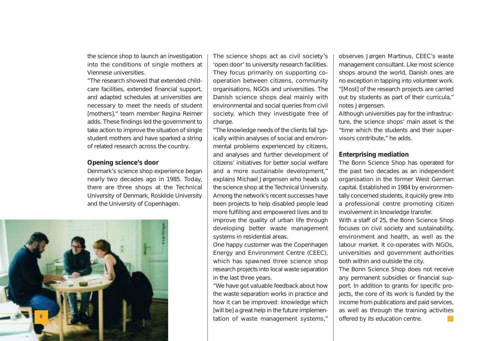the science shop to launch an investigation into the conditions of single mothers at Viennese universities.

"The research showed that extended childcare facilities, extended financial support, and adapted schedules at universities are necessary to meet the needs of student [mothers]," team member Regina Reimer adds. These findings led the government to take action to improve the situation of single student mothers and have sparked a string of related research across the country.

#### **Opening science's door**

Denmark's science shop experience began nearly two decades ago in 1985. Today, there are three shops at the Technical University of Denmark, Roskilde University and the University of Copenhagen.



The science shops act as civil society's 'open door' to university research facilities. They focus primarily on supporting cooperation between citizens, community organisations, NGOs and universities. The Danish science shops deal mainly with environmental and social queries from civil society, which they investigate free of charge.

"The knowledge needs of the clients fall typically within analyses of social and environmental problems experienced by citizens, and analyses and further development of citizens' initiatives for better social welfare and a more sustainable development," explains Michael Jørgensen who heads up the science shop at the Technical University. Among the network's recent successes have been projects to help disabled people lead more fulfilling and empowered lives and to improve the quality of urban life through developing better waste management systems in residential areas.

One happy customer was the Copenhagen Energy and Environment Centre (CEEC), which has spawned three science shop research projects into local waste separation in the last three years.

"We have got valuable feedback about how the waste separation works in practice and how it can be improved: knowledge which [will be] a great help in the future implementation of waste management systems,"

observes Jørgen Martinus, CEEC's waste management consultant. Like most science shops around the world, Danish ones are no exception in tapping into volunteer work. "[Most] of the research projects are carried out by students as part of their curricula," notes Jørgensen.

Although universities pay for the infrastructure, the science shops' main asset is the "time which the students and their supervisors contribute," he adds.

#### **Enterprising mediation**

The Bonn Science Shop has operated for the past two decades as an independent organisation in the former West German capital. Established in 1984 by environmentally concerned students, it quickly grew into a professional centre promoting citizen involvement in knowledge transfer. With a staff of 25, the Bonn Science Shop focuses on civil society and sustainability, environment and health, as well as the labour market. It co-operates with NGOs, universities and government authorities both within and outside the city.

The Bonn Science Shop does not receive any permanent subsidies or financial support. In addition to grants for specific projects, the core of its work is funded by the income from publications and paid services, as well as through the training activities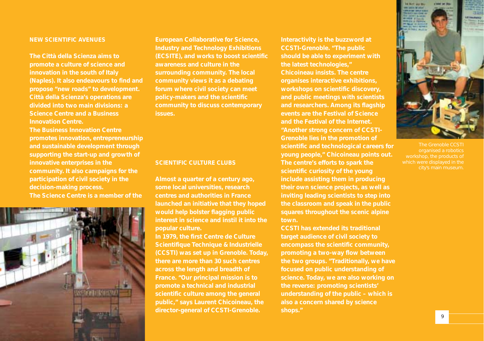#### *NEW SCIENTIFIC AVENUES*

*The Città della Scienza aims to promote a culture of science and innovation in the south of Italy (Naples). It also endeavours to find and propose "new roads" to development. Città della Scienza's operations are divided into two main divisions: a Science Centre and a Business Innovation Centre.* 

*The Business Innovation Centre promotes innovation, entrepreneurship and sustainable development through supporting the start-up and growth of innovative enterprises in the community. It also campaigns for the participation of civil society in the decision-making process. The Science Centre is a member of the*



*European Collaborative for Science, Industry and Technology Exhibitions (ECSITE), and works to boost scientific awareness and culture in the surrounding community. The local community views it as a debating forum where civil society can meet policy-makers and the scientific community to discuss contemporary issues.*

#### *SCIENTIFIC CULTURE CLUBS*

*Almost a quarter of a century ago, some local universities, research centres and authorities in France launched an initiative that they hoped would help bolster flagging public interest in science and instil it into the popular culture.* 

*In 1979, the first Centre de Culture Scientifique Technique & Industrielle (CCSTI) was set up in Grenoble. Today, there are more than 30 such centres across the length and breadth of France. "Our principal mission is to promote a technical and industrial scientific culture among the general public," says Laurent Chicoineau, the director-general of CCSTI-Grenoble.*

*Interactivity is the buzzword at CCSTI-Grenoble. "The public should be able to experiment with the latest technologies," Chicoineau insists. The centre organises interactive exhibitions, workshops on scientific discovery, and public meetings with scientists and researchers. Among its flagship events are the Festival of Science and the Festival of the Internet. "Another strong concern of CCSTI-Grenoble lies in the promotion of scientific and technological careers for young people," Chicoineau points out. The centre's efforts to spark the scientific curiosity of the young include assisting them in producing their own science projects, as well as inviting leading scientists to step into the classroom and speak in the public squares throughout the scenic alpine town.*

*CCSTI has extended its traditional target audience of civil society to encompass the scientific community, promoting a two-way flow between the two groups. "Traditionally, we have focused on public understanding of science. Today, we are also working on the reverse: promoting scientists' understanding of the public – which is also a concern shared by science shops."*



The Grenoble CCSTI organised a robotics workshop, the products of which were displayed in the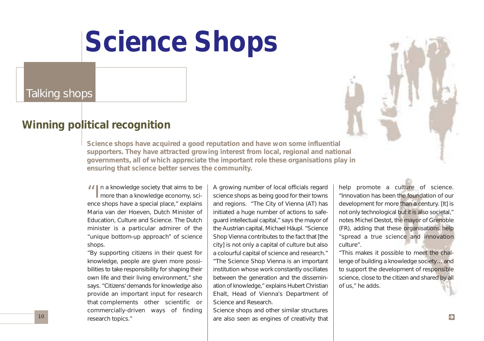Talking shops

### **Winning political recognition**

*Science shops have acquired a good reputation and have won some influential supporters. They have attracted growing interest from local, regional and national governments, all of which appreciate the important role these organisations play in ensuring that science better serves the community.*

II n a knowledge society that aims to be more than a knowledge economy, science shops have a special place," explains Maria van der Hoeven, Dutch Minister of Education, Culture and Science. The Dutch minister is a particular admirer of the "unique bottom-up approach" of science shops.

"By supporting citizens in their quest for knowledge, people are given more possibilities to take responsibility for shaping their own life and their living environment," she says. "Citizens' demands for knowledge also provide an important input for research that complements other scientific or commercially-driven ways of finding research topics."

A growing number of local officials regard science shops as being good for their towns and regions. "The City of Vienna (AT) has initiated a huge number of actions to safeguard intellectual capital," says the mayor of the Austrian capital, Michael Häupl. "Science Shop Vienna contributes to the fact that [the city] is not only a capital of culture but also a colourful capital of science and research." "The Science Shop Vienna is an important institution whose work constantly oscillates between the generation and the dissemination of knowledge," explains Hubert Christian Ehalt, Head of Vienna's Department of Science and Research.

Science shops and other similar structures are also seen as engines of creativity that

help promote a culture of science. "Innovation has been the foundation of our development for more than a century. [It] is not only technological but it is also societal," notes Michel Destot, the mayor of Grenoble (FR), adding that these organisations help "spread a true science and innovation culture".

"This makes it possible to meet the challenge of building a knowledge society… and to support the development of responsible science, close to the citizen and shared by all of us," he adds.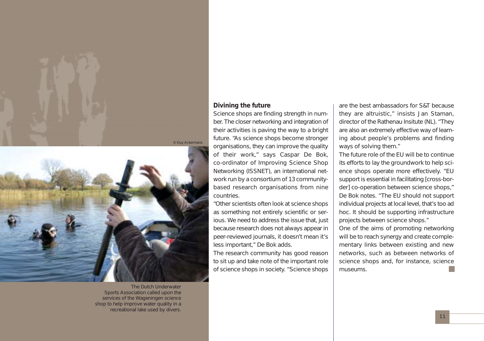



The Dutch Underwater Sports Association called upon the services of the Wageningen science shop to help improve water quality in a recreational lake used by divers.

#### **Divining the future**

Science shops are finding strength in number. The closer networking and integration of their activities is paving the way to a bright future. "As science shops become stronger organisations, they can improve the quality of their work," says Caspar De Bok, co-ordinator of Improving Science Shop Networking (ISSNET), an international network run by a consortium of 13 communitybased research organisations from nine countries.

"Other scientists often look at science shops as something not entirely scientific or serious. We need to address the issue that, just because research does not always appear in peer-reviewed journals, it doesn't mean it's less important," De Bok adds.

The research community has good reason to sit up and take note of the important role of science shops in society. "Science shops

are the best ambassadors for S&T because they are altruistic," insists Jan Staman, director of the Rathenau Insitute (NL). "They are also an extremely effective way of learning about people's problems and finding ways of solving them."

The future role of the EU will be to continue its efforts to lay the groundwork to help science shops operate more effectively. "EU support is essential in facilitating [cross-border] co-operation between science shops," De Bok notes. "The EU should not support individual projects at local level, that's too ad hoc. It should be supporting infrastructure projects between science shops."

One of the aims of promoting networking will be to reach synergy and create complementary links between existing and new networks, such as between networks of science shops and, for instance, science museums.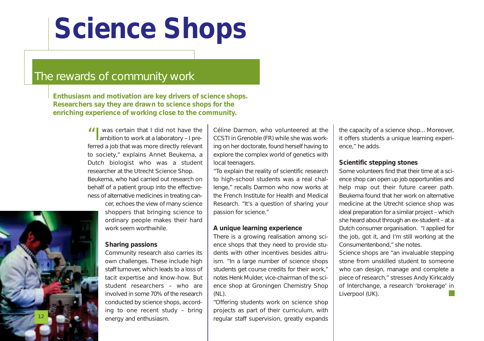### The rewards of community work

*Enthusiasm and motivation are key drivers of science shops. Researchers say they are drawn to science shops for the enriching experience of working close to the community.*

> II was certain that I did not have the ambition to work at a laboratory – I preferred a job that was more directly relevant to society," explains Annet Beukema, a Dutch biologist who was a student researcher at the Utrecht Science Shop. Beukema, who had carried out research on behalf of a patient group into the effectiveness of alternative medicines in treating can-

> > cer, echoes the view of many science shoppers that bringing science to ordinary people makes their hard work seem worthwhile.

#### **Sharing passions**

Community research also carries its own challenges. These include high staff turnover, which leads to a loss of tacit expertise and know-how. But student researchers – who are involved in some 70% of the research conducted by science shops, according to one recent study – bring energy and enthusiasm.

Céline Darmon, who volunteered at the CCSTI in Grenoble (FR) while she was working on her doctorate, found herself having to explore the complex world of genetics with local teenagers.

"To explain the reality of scientific research to high-school students was a real challenge," recalls Darmon who now works at the French Institute for Health and Medical Research. "It's a question of sharing your passion for science."

#### **A unique learning experience**

There is a growing realisation among science shops that they need to provide students with other incentives besides altruism. "In a large number of science shops students get course credits for their work," notes Henk Mulder, vice-chairman of the science shop at Groningen Chemistry Shop (NL).

"Offering students work on science shop projects as part of their curriculum, with regular staff supervision, greatly expands

the capacity of a science shop... Moreover, it offers students a unique learning experience," he adds.

#### **Scientific stepping stones**

Some volunteers find that their time at a science shop can open up job opportunities and help map out their future career path. Beukema found that her work on alternative medicine at the Utrecht science shop was ideal preparation for a similar project – which she heard about through an ex-student – at a Dutch consumer organisation. "I applied for the job, got it, and I'm still working at the Consumentenbond," she notes.

Science shops are "an invaluable stepping stone from unskilled student to someone who can design, manage and complete a piece of research," stresses Andy Kirkcaldy of Interchange, a research 'brokerage' in Liverpool (UK).

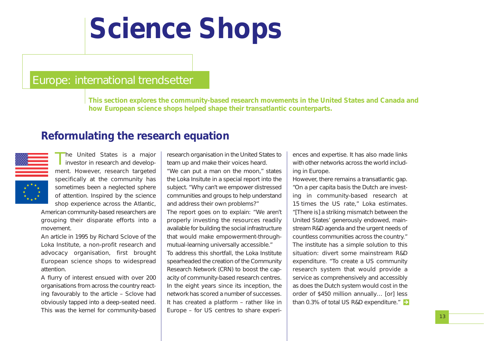### Europe: international trendsetter

*This section explores the community-based research movements in the United States and Canada and how European science shops helped shape their transatlantic counterparts.*

### **Reformulating the research equation**



The United States is a major<br>investor in research and development. However, research targeted specifically at the community has sometimes been a neglected sphere of attention. Inspired by the science shop experience across the Atlantic,

American community-based researchers are grouping their disparate efforts into a movement.

An article in 1995 by Richard Sclove of the Loka Institute, a non-profit research and advocacy organisation, first brought European science shops to widespread attention.

A flurry of interest ensued with over 200 organisations from across the country reacting favourably to the article – Sclove had obviously tapped into a deep-seated need. This was the kernel for community-based

research organisation in the United States to team up and make their voices heard. "We can put a man on the moon," states the Loka Insitute in a special report into the

subject. "Why can't we empower distressed communities and groups to help understand and address their own problems?" The report goes on to explain: "We aren't properly investing the resources readily available for building the social infrastructure that would make empowerment-throughmutual-learning universally accessible." To address this shortfall, the Loka Institute spearheaded the creation of the Community Research Network (CRN) to boost the capacity of community-based research centres. In the eight years since its inception, the network has scored a number of successes. It has created a platform – rather like in Europe – for US centres to share experiences and expertise. It has also made links with other networks across the world including in Europe.

However, there remains a transatlantic gap. "On a per capita basis the Dutch are investing in community-based research at 15 times the US rate," Loka estimates. "[There is] a striking mismatch between the United States' generously endowed, mainstream R&D agenda and the urgent needs of countless communities across the country." The institute has a simple solution to this situation: divert some mainstream R&D expenditure. "To create a US community research system that would provide a service as comprehensively and accessibly as does the Dutch system would cost in the order of \$450 million annually… [or] less than 0.3% of total US R&D expenditure."  $\rightarrow$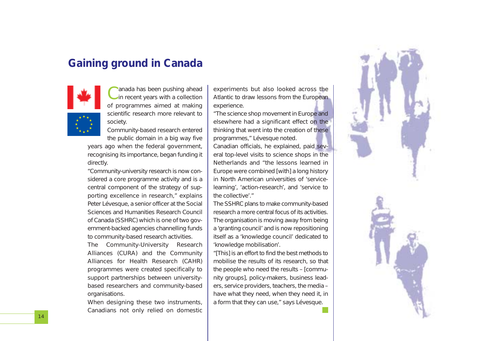### **Gaining ground in Canada**



Canada has been pushing ahead in recent years with a collection of programmes aimed at making scientific research more relevant to society.

Community-based research entered the public domain in a big way five

years ago when the federal government, recognising its importance, began funding it directly.

"Community-university research is now considered a core programme activity and is a central component of the strategy of supporting excellence in research," explains Peter Lévesque, a senior officer at the Social Sciences and Humanities Research Council of Canada (SSHRC) which is one of two government-backed agencies channelling funds to community-based research activities.

The Community-University Research Alliances (CURA) and the Community Alliances for Health Research (CAHR) programmes were created specifically to support partnerships between universitybased researchers and community-based organisations.

When designing these two instruments, Canadians not only relied on domestic experiments but also looked across the Atlantic to draw lessons from the European experience.

"The science shop movement in Europe and elsewhere had a significant effect on the thinking that went into the creation of these programmes," Lévesque noted.

Canadian officials, he explained, paid several top-level visits to science shops in the Netherlands and "the lessons learned in Europe were combined [with] a long history in North American universities of 'servicelearning', 'action-research', and 'service to the collective'."

The SSHRC plans to make community-based research a more central focus of its activities. The organisation is moving away from being a 'granting council' and is now repositioning itself as a 'knowledge council' dedicated to 'knowledge mobilisation'.

"[This] is an effort to find the best methods to mobilise the results of its research, so that the people who need the results – [community groups], policy-makers, business leaders, service providers, teachers, the media – have what they need, when they need it, in a form that they can use," says Lévesque.

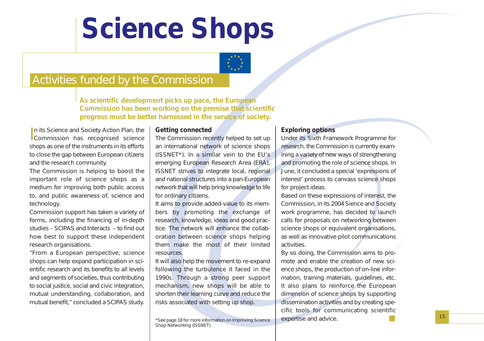

### Activities funded by the Commission

*As scientific development picks up pace, the European Commission has been working on the premise that scientific progress must be better harnessed in the service of society.*

In its Science and Society Action Plan, the<br>Commission has recognised science In its Science and Society Action Plan, the shops as one of the instruments in its efforts to close the gap between European citizens and the research community.

The Commission is helping to boost the important role of science shops as a medium for improving both public access to, and public awareness of, science and technology.

Commission support has taken a variety of forms, including the financing of in-depth studies – SCIPAS and Interacts – to find out how best to support these independent research organisations.

"From a European perspective, science shops can help expand participation in scientific research and its benefits to all levels and segments of societies, thus contributing to social justice, social and civic integration, mutual understanding, collaboration, and mutual benefit," concluded a SCIPAS study.

#### **Getting connected**

The Commission recently helped to set up an international network of science shops (ISSNET\*). In a similar vein to the EU's emerging European Research Area (ERA), ISSNET strives to integrate local, regional and national structures into a pan-European network that will help bring knowledge to life for ordinary citizens.

It aims to provide added-value to its members by promoting the exchange of research, knowledge, ideas and good practice. The network will enhance the collaboration between science shops helping them make the most of their limited resources.

It will also help the movement to re-expand following the turbulence it faced in the 1990s. Through a strong peer support mechanism, new shops will be able to shorten their learning curve and reduce the risks associated with setting up shop.

#### **Exploring options**

Under its Sixth Framework Programme for research, the Commission is currently examining a variety of new ways of strengthening and promoting the role of science shops. In June, it concluded a special 'expressions of interest' process to canvass science shops for project ideas.

Based on these expressions of interest, the Commission, in its 2004 Sience and Society work programme, has decided to launch calls for proposals on networking between science shops or equivalent organisations, as well as innovative pilot communications activities.

By so doing, the Commission aims to promote and enable the creation of new science shops, the production of on-line information, training materials, guidelines, etc. It also plans to reinforce the European dimension of science shops by supporting dissemination activities and by creating specific tools for communicating scientific expertise and advice.

\*See page 18 for more information on Improving Science Shop Networking (ISSNET)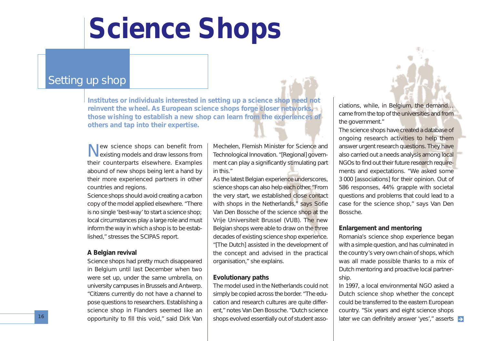### Setting up shop

*Institutes or individuals interested in setting up a science shop need not reinvent the wheel. As European science shops forge closer networks, those wishing to establish a new shop can learn from the experiences of others and tap into their expertise.*

New science shops can benefit from existing models and draw lessons from their counterparts elsewhere. Examples abound of new shops being lent a hand by their more experienced partners in other countries and regions.

Science shops should avoid creating a carbon copy of the model applied elsewhere. "There is no single 'best-way' to start a science shop; local circumstances play a large role and must inform the way in which a shop is to be established," stresses the SCIPAS report.

#### **A Belgian revival**

Science shops had pretty much disappeared in Belgium until last December when two were set up, under the same umbrella, on university campuses in Brussels and Antwerp. "Citizens currently do not have a channel to pose questions to researchers. Establishing a science shop in Flanders seemed like an opportunity to fill this void," said Dirk Van

Mechelen, Flemish Minister for Science and Technological Innovation. "[Regional] government can play a significantly stimulating part in this."

As the latest Belgian experience underscores, science shops can also help each other. "From the very start, we established close contact with shops in the Netherlands," says Sofie Van Den Bossche of the science shop at the Vrije Universiteit Brussel (VUB). The new Belgian shops were able to draw on the three decades of existing science shop experience. "[The Dutch] assisted in the development of the concept and advised in the practical organisation," she explains.

#### **Evolutionary paths**

The model used in the Netherlands could not simply be copied across the border. "The education and research cultures are quite different," notes Van Den Bossche. "Dutch science shops evolved essentially out of student associations, while, in Belgium, the demand… came from the top of the universities and from the government."

The science shops have created a database of ongoing research activities to help them answer urgent research questions. They have also carried out a needs analysis among local NGOs to find out their future research requirements and expectations. "We asked some 3 000 [associations] for their opinion. Out of 586 responses, 44% grapple with societal questions and problems that could lead to a case for the science shop," says Van Den Bossche.

#### **Enlargement and mentoring**

Romania's science shop experience began with a simple question, and has culminated in the country's very own chain of shops, which was all made possible thanks to a mix of Dutch mentoring and proactive local partnership.

In 1997, a local environmental NGO asked a Dutch science shop whether the concept could be transferred to the eastern European country. "Six years and eight science shops later we can definitely answer 'yes'," asserts  $\rightarrow$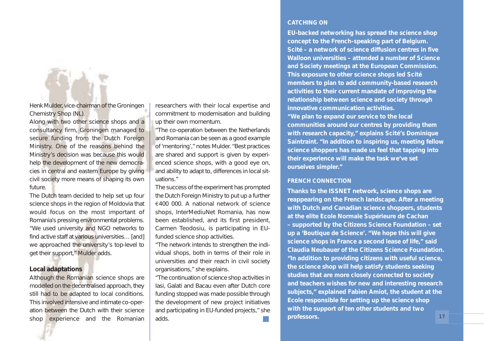

Henk Mulder, vice-chairman of the Groningen Chemistry Shop (NL).

Along with two other science shops and a consultancy firm, Groningen managed to secure funding from the Dutch Foreign Ministry. One of the reasons behind the Ministry's decision was because this would help the development of the new democracies in central and eastern Europe by giving civil society more means of shaping its own future.

The Dutch team decided to help set up four science shops in the region of Moldovia that would focus on the most important of Romania's pressing environmental problems. "We used university and NGO networks to find active staff at various universities… [and] we approached the university's top-level to get their support," Mulder adds.

#### **Local adaptations**

Although the Romanian science shops are modelled on the decentralised approach, they still had to be adapted to local conditions. This involved intensive and intimate co-operation between the Dutch with their science shop experience and the Romanian

researchers with their local expertise and commitment to modernisation and building up their own momentum.

"The co-operation between the Netherlands and Romania can be seen as a good example of 'mentoring'," notes Mulder. "Best practices are shared and support is given by experienced science shops, with a good eye on, and ability to adapt to, differences in local situations."

The success of the experiment has prompted the Dutch Foreign Ministry to put up a further €400 000. A national network of science shops, InterMediuNet Romania, has now been established, and its first president, Carmen Teodosiu, is participating in EUfunded science shop activities.

"The network intends to strengthen the individual shops, both in terms of their role in universities and their reach in civil society organisations," she explains.

"The continuation of science shop activities in Iasi, Galati and Bacau even after Dutch core funding stopped was made possible through the development of new project initiatives and participating in EU-funded projects," she adds.

#### *CATCHING ON*

*EU-backed networking has spread the science shop concept to the French-speaking part of Belgium. Scité – a network of science diffusion centres in five Walloon universities – attended a number of Science and Society meetings at the European Commission. This exposure to other science shops led Scité members to plan to add community-based research activities to their current mandate of improving the relationship between science and society through innovative communication activities. "We plan to expand our service to the local communities around our centres by providing them with research capacity," explains Scité's Dominique Saintraint. "In addition to inspiring us, meeting fellow science shoppers has made us feel that tapping into their experience will make the task we've set ourselves simpler."*

#### *FRENCH CONNECTION*

*Thanks to the ISSNET network, science shops are reappearing on the French landscape. After a meeting with Dutch and Canadian science shoppers, students at the elite Ecole Normale Supérieure de Cachan – supported by the Citizens Science Foundation – set up a 'Boutique de Science'. "We hope this will give science shops in France a second lease of life," said Claudia Neubauer of the Citizens Science Foundation. "In addition to providing citizens with useful science, the science shop will help satisfy students seeking studies that are more closely connected to society and teachers wishes for new and interesting research subjects," explained Fabien Amiot, the student at the Ecole responsible for setting up the science shop with the support of ten other students and two professors.* 17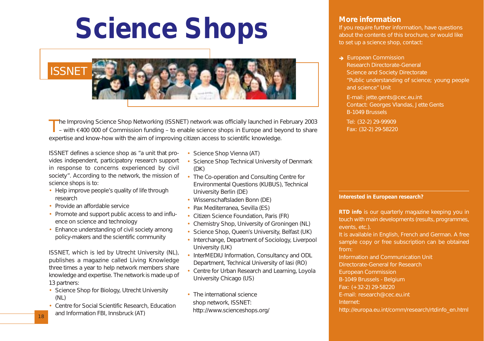

The Improving Science Shop Networking (ISSNET) network was officially launched in February 2003<br>
– with €400 000 of Commission funding – to enable science shops in Europe and beyond to share expertise and know-how with the aim of improving citizen access to scientific knowledge.

ISSNET defines a science shop as "a unit that provides independent, participatory research support in response to concerns experienced by civil society". According to the network, the mission of science shops is to:

- Help improve people's quality of life through research
- Provide an affordable service
- Promote and support public access to and influence on science and technology
- Enhance understanding of civil society among policy-makers and the scientific community

ISSNET, which is led by Utrecht University (NL), publishes a magazine called Living Knowledge three times a year to help network members share knowledge and expertise. The network is made up of 13 partners:

- Science Shop for Biology, Utrecht University (NL)
- Centre for Social Scientific Research, Education and Information FBI, Innsbruck (AT)
- Science Shop Vienna (AT)
- Science Shop Technical University of Denmark (DK)
- The Co-operation and Consulting Centre for Environmental Questions (KUBUS), Technical University Berlin (DE)
- Wissenschaftsladen Bonn (DE)
- Pax Mediterranea, Sevilla (ES)
- Citizen Science Foundation, Paris (FR)
- Chemistry Shop, University of Groningen (NL)
- Science Shop, Queen's University, Belfast (UK)
- Interchange, Department of Sociology, Liverpool University (UK)
- InterMEDIU Information, Consultancy and ODL Department, Technical University of Iasi (RO)
- Centre for Urban Research and Learning, Loyola University Chicago (US)
- The international science shop network, ISSNET: http://www.scienceshops.org/

#### **More information**

If you require further information, have questions about the contents of this brochure, or would like to set up a science shop, contact:

European Commission

Research Directorate-General Science and Society Directorate "Public understanding of science; young people and science" Unit

E-mail: jette.gents@cec.eu.int Contact: Georges Vlandas, Jette Gents B-1049 Brussels

Tel: (32-2) 29-99909 Fax: (32-2) 29-58220

#### **Interested in European research?**

*RTD info* is our quarterly magazine keeping you in touch with main developments (results, programmes, events, etc.).

It is available in English, French and German. A free sample copy or free subscription can be obtained from:

Information and Communication Unit Directorate-General for Research European Commission B-1049 Brussels - Belgium Fax: (+32-2) 29-58220 E-mail: research@cec.eu.int Internet: http://europa.eu.int/comm/research/rtdinfo\_en.html

18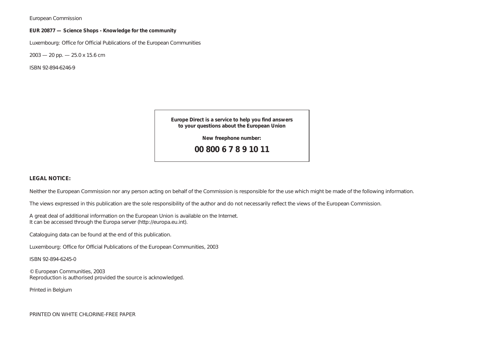European Commission

#### **EUR 20877 — Science Shops - Knowledge for the community**

Luxembourg: Office for Official Publications of the European Communities

 $2003 - 20$  pp.  $- 25.0$  x 15.6 cm

ISBN 92-894-6246-9

**Europe Direct is a service to help you find answers to your questions about the European Union**

**New freephone number:**

**00 800 6 7 8 9 10 11**

#### **LEGAL NOTICE:**

Neither the European Commission nor any person acting on behalf of the Commission is responsible for the use which might be made of the following information.

The views expressed in this publication are the sole responsibility of the author and do not necessarily reflect the views of the European Commission.

A great deal of additional information on the European Union is available on the Internet. It can be accessed through the Europa server (http://europa.eu.int).

Cataloguing data can be found at the end of this publication.

Luxembourg: Office for Official Publications of the European Communities, 2003

ISBN 92-894-6245-0

© European Communities, 2003 Reproduction is authorised provided the source is acknowledged.

Printed in Belgium

PRINTED ON WHITE CHLORINE-FREE PAPER